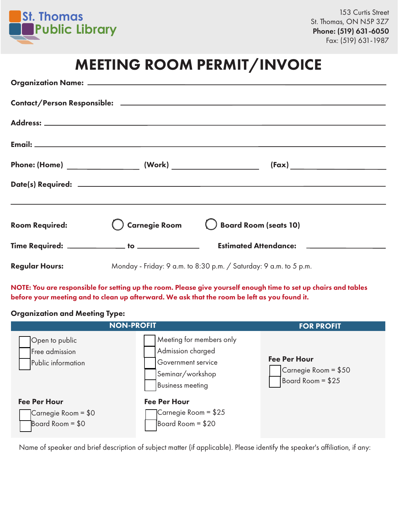

## MEETING ROOM PERMIT/INVOICE

| <b>Room Required:</b> |                                                                   | Carnegie Room C Board Room (seats 10)             |  |  |  |  |
|-----------------------|-------------------------------------------------------------------|---------------------------------------------------|--|--|--|--|
|                       | Time Required: _____________ to ______________                    | Estimated Attendance: <u>____________________</u> |  |  |  |  |
| <b>Regular Hours:</b> | Monday - Friday: 9 a.m. to 8:30 p.m. / Saturday: 9 a.m. to 5 p.m. |                                                   |  |  |  |  |

NOTE: You are responsible for setting up the room. Please give yourself enough time to set up chairs and tables before your meeting and to clean up afterward. We ask that the room be left as you found it.

#### Organization and Meeting Type:



Name of speaker and brief description of subject matter (if applicable). Please identify the speaker's affiliation, if any: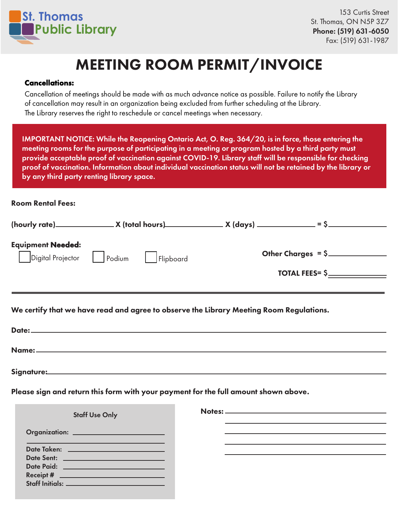

# MEETING ROOM PERMIT/INVOICE

#### Cancellations:

Cancellation of meetings should be made with as much advance notice as possible. Failure to notify the Library of cancellation may result in an organization being excluded from further scheduling at the Library. The Library reserves the right to reschedule or cancel meetings when necessary.

IMPORTANT NOTICE: While the Reopening Ontario Act, O. Reg. 364/20, is in force, those entering the meeting rooms for the purpose of participating in a meeting or program hosted by a third party must provide acceptable proof of vaccination against COVID-19. Library staff will be responsible for checking proof of vaccination. Information about individual vaccination status will not be retained by the library or by any third party renting library space.

#### Room Rental Fees:

Signature:

|                                                                                         | $(hourly rate)$ $X (total hours)$ $X (days)$ $Y (days)$ $Y (days)$ $Y (days)$ $Y (days)$ $Y (days)$ $Y (days)$ $Y (days)$ $Y (days)$ $Y (days)$ $Y (0)$ $Y (0)$ $Y (0)$ $Y (0)$ $Y (0)$ $Y (0)$ $Y (0)$ $Y (0)$ $Y (0)$ $Y (0)$ $Y (0)$ $Y (0)$ $Y (0)$ $Y (0)$ $Y (0)$ $Y (0)$ $Y (0)$ $Y (0)$ $Y (0)$ $Y$ |  |                                                                  |  |  |  |  |
|-----------------------------------------------------------------------------------------|-------------------------------------------------------------------------------------------------------------------------------------------------------------------------------------------------------------------------------------------------------------------------------------------------------------|--|------------------------------------------------------------------|--|--|--|--|
| <b>Equipment Needed:</b>                                                                | Digital Projector Dendium Flipboard                                                                                                                                                                                                                                                                         |  | Other Charges = $$$<br>$\begin{tabular}{c} \bf{1OTAL FEES=} $\S$ |  |  |  |  |
| We certify that we have read and agree to observe the Library Meeting Room Regulations. |                                                                                                                                                                                                                                                                                                             |  |                                                                  |  |  |  |  |
|                                                                                         |                                                                                                                                                                                                                                                                                                             |  |                                                                  |  |  |  |  |
|                                                                                         |                                                                                                                                                                                                                                                                                                             |  |                                                                  |  |  |  |  |

Please sign and return this form with your payment for the full amount shown above.

| <b>Staff Use Only</b>                               |  |
|-----------------------------------------------------|--|
| Organization: _________________________             |  |
| Date Sent: <u>_________________________________</u> |  |